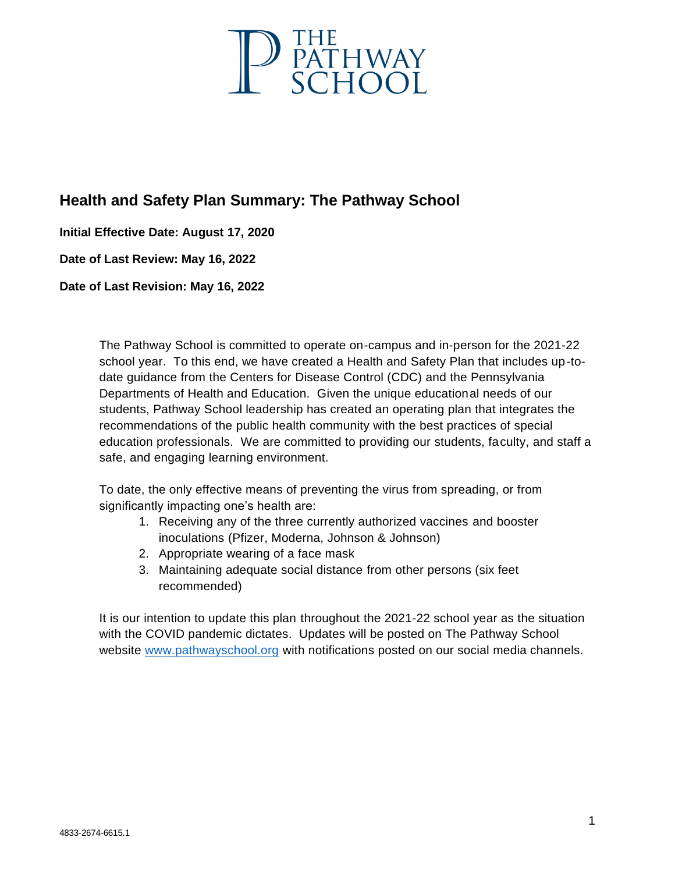

# **Health and Safety Plan Summary: The Pathway School**

**Initial Effective Date: August 17, 2020**

**Date of Last Review: May 16, 2022**

**Date of Last Revision: May 16, 2022**

The Pathway School is committed to operate on-campus and in-person for the 2021-22 school year. To this end, we have created a Health and Safety Plan that includes up-todate guidance from the Centers for Disease Control (CDC) and the Pennsylvania Departments of Health and Education. Given the unique educational needs of our students, Pathway School leadership has created an operating plan that integrates the recommendations of the public health community with the best practices of special education professionals. We are committed to providing our students, faculty, and staff a safe, and engaging learning environment.

To date, the only effective means of preventing the virus from spreading, or from significantly impacting one's health are:

- 1. Receiving any of the three currently authorized vaccines and booster inoculations (Pfizer, Moderna, Johnson & Johnson)
- 2. Appropriate wearing of a face mask
- 3. Maintaining adequate social distance from other persons (six feet recommended)

It is our intention to update this plan throughout the 2021-22 school year as the situation with the COVID pandemic dictates. Updates will be posted on The Pathway School website [www.pathwayschool.org](http://www.pathwayschool.org/) with notifications posted on our social media channels.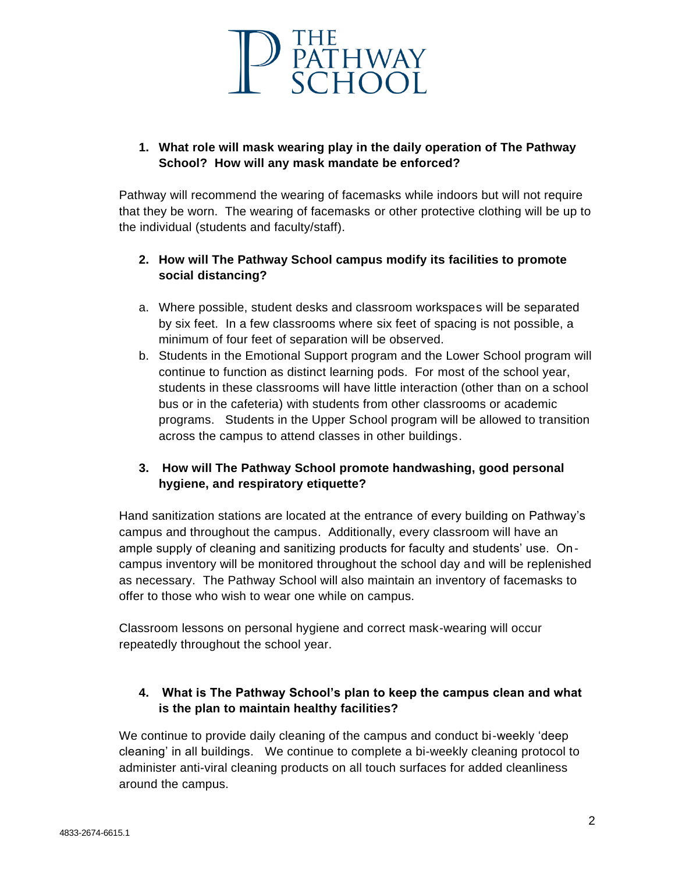

## **1. What role will mask wearing play in the daily operation of The Pathway School? How will any mask mandate be enforced?**

Pathway will recommend the wearing of facemasks while indoors but will not require that they be worn. The wearing of facemasks or other protective clothing will be up to the individual (students and faculty/staff).

## **2. How will The Pathway School campus modify its facilities to promote social distancing?**

- a. Where possible, student desks and classroom workspaces will be separated by six feet. In a few classrooms where six feet of spacing is not possible, a minimum of four feet of separation will be observed.
- b. Students in the Emotional Support program and the Lower School program will continue to function as distinct learning pods. For most of the school year, students in these classrooms will have little interaction (other than on a school bus or in the cafeteria) with students from other classrooms or academic programs. Students in the Upper School program will be allowed to transition across the campus to attend classes in other buildings.

### **3. How will The Pathway School promote handwashing, good personal hygiene, and respiratory etiquette?**

Hand sanitization stations are located at the entrance of every building on Pathway's campus and throughout the campus. Additionally, every classroom will have an ample supply of cleaning and sanitizing products for faculty and students' use. Oncampus inventory will be monitored throughout the school day and will be replenished as necessary. The Pathway School will also maintain an inventory of facemasks to offer to those who wish to wear one while on campus.

Classroom lessons on personal hygiene and correct mask-wearing will occur repeatedly throughout the school year.

## **4. What is The Pathway School's plan to keep the campus clean and what is the plan to maintain healthy facilities?**

We continue to provide daily cleaning of the campus and conduct bi-weekly 'deep cleaning' in all buildings. We continue to complete a bi-weekly cleaning protocol to administer anti-viral cleaning products on all touch surfaces for added cleanliness around the campus.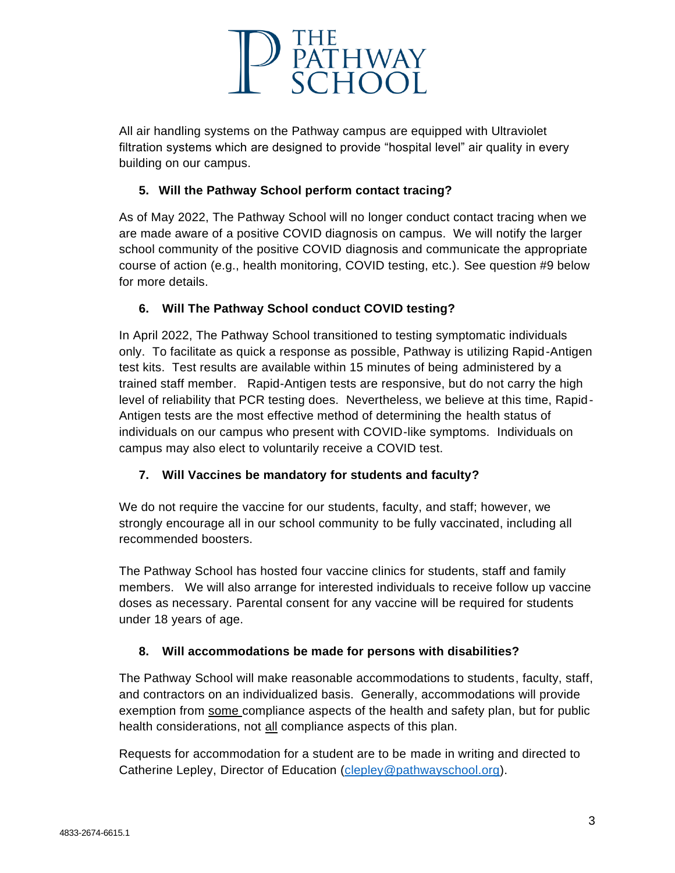

All air handling systems on the Pathway campus are equipped with Ultraviolet filtration systems which are designed to provide "hospital level" air quality in every building on our campus.

### **5. Will the Pathway School perform contact tracing?**

As of May 2022, The Pathway School will no longer conduct contact tracing when we are made aware of a positive COVID diagnosis on campus. We will notify the larger school community of the positive COVID diagnosis and communicate the appropriate course of action (e.g., health monitoring, COVID testing, etc.). See question #9 below for more details.

## **6. Will The Pathway School conduct COVID testing?**

In April 2022, The Pathway School transitioned to testing symptomatic individuals only. To facilitate as quick a response as possible, Pathway is utilizing Rapid-Antigen test kits. Test results are available within 15 minutes of being administered by a trained staff member. Rapid-Antigen tests are responsive, but do not carry the high level of reliability that PCR testing does. Nevertheless, we believe at this time, Rapid-Antigen tests are the most effective method of determining the health status of individuals on our campus who present with COVID-like symptoms. Individuals on campus may also elect to voluntarily receive a COVID test.

## **7. Will Vaccines be mandatory for students and faculty?**

We do not require the vaccine for our students, faculty, and staff; however, we strongly encourage all in our school community to be fully vaccinated, including all recommended boosters.

The Pathway School has hosted four vaccine clinics for students, staff and family members. We will also arrange for interested individuals to receive follow up vaccine doses as necessary. Parental consent for any vaccine will be required for students under 18 years of age.

### **8. Will accommodations be made for persons with disabilities?**

The Pathway School will make reasonable accommodations to students, faculty, staff, and contractors on an individualized basis. Generally, accommodations will provide exemption from some compliance aspects of the health and safety plan, but for public health considerations, not all compliance aspects of this plan.

Requests for accommodation for a student are to be made in writing and directed to Catherine Lepley, Director of Education [\(clepley@pathwayschool.org\)](mailto:clepley@pathwayschool.org).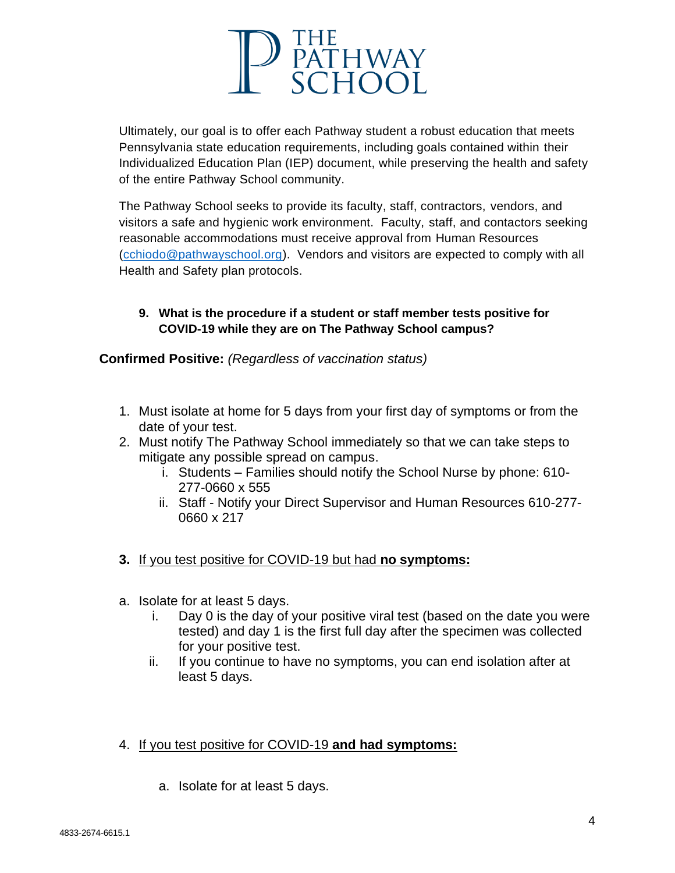

Ultimately, our goal is to offer each Pathway student a robust education that meets Pennsylvania state education requirements, including goals contained within their Individualized Education Plan (IEP) document, while preserving the health and safety of the entire Pathway School community.

The Pathway School seeks to provide its faculty, staff, contractors, vendors, and visitors a safe and hygienic work environment. Faculty, staff, and contactors seeking reasonable accommodations must receive approval from Human Resources [\(cchiodo@pathwayschool.org\)](mailto:cchiodo@pathwayschool.org). Vendors and visitors are expected to comply with all Health and Safety plan protocols.

#### **9. What is the procedure if a student or staff member tests positive for COVID-19 while they are on The Pathway School campus?**

**Confirmed Positive:** *(Regardless of vaccination status)*

- 1. Must isolate at home for 5 days from your first day of symptoms or from the date of your test.
- 2. Must notify The Pathway School immediately so that we can take steps to mitigate any possible spread on campus.
	- i. Students Families should notify the School Nurse by phone: 610- 277-0660 x 555
	- ii. Staff Notify your Direct Supervisor and Human Resources 610-277- 0660 x 217
- **3.** If you test positive for COVID-19 but had **no symptoms:**
- a. Isolate for at least 5 days.
	- i. Day 0 is the day of your positive viral test (based on the date you were tested) and day 1 is the first full day after the specimen was collected for your positive test.
	- ii. If you continue to have no symptoms, you can end isolation after at least 5 days.
- 4. If you test positive for COVID-19 **and had symptoms:**
	- a. Isolate for at least 5 days.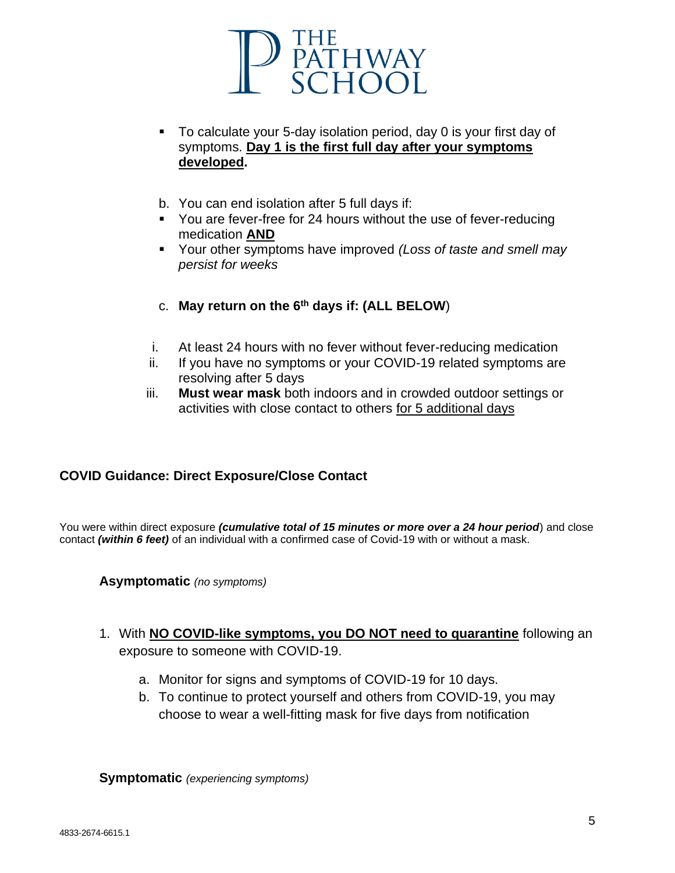

- To calculate your 5-day isolation period, day 0 is your first day of symptoms. **Day 1 is the first full day after your symptoms developed.**
- b. You can end isolation after 5 full days if:
- You are fever-free for 24 hours without the use of fever-reducing medication **AND**
- Your other symptoms have improved *(Loss of taste and smell may persist for weeks*
- c. **May return on the 6th days if: (ALL BELOW**)
- i. At least 24 hours with no fever without fever-reducing medication
- ii. If you have no symptoms or your COVID-19 related symptoms are resolving after 5 days
- iii. **Must wear mask** both indoors and in crowded outdoor settings or activities with close contact to others for 5 additional days

## **COVID Guidance: Direct Exposure/Close Contact**

You were within direct exposure *(cumulative total of 15 minutes or more over a 24 hour period*) and close contact *(within 6 feet)* of an individual with a confirmed case of Covid-19 with or without a mask.

**Asymptomatic** *(no symptoms)*

- 1. With **NO COVID-like symptoms, you DO NOT need to quarantine** following an exposure to someone with COVID-19.
	- a. Monitor for signs and symptoms of COVID-19 for 10 days.
	- b. To continue to protect yourself and others from COVID-19, you may choose to wear a well-fitting mask for five days from notification

**Symptomatic** *(experiencing symptoms)*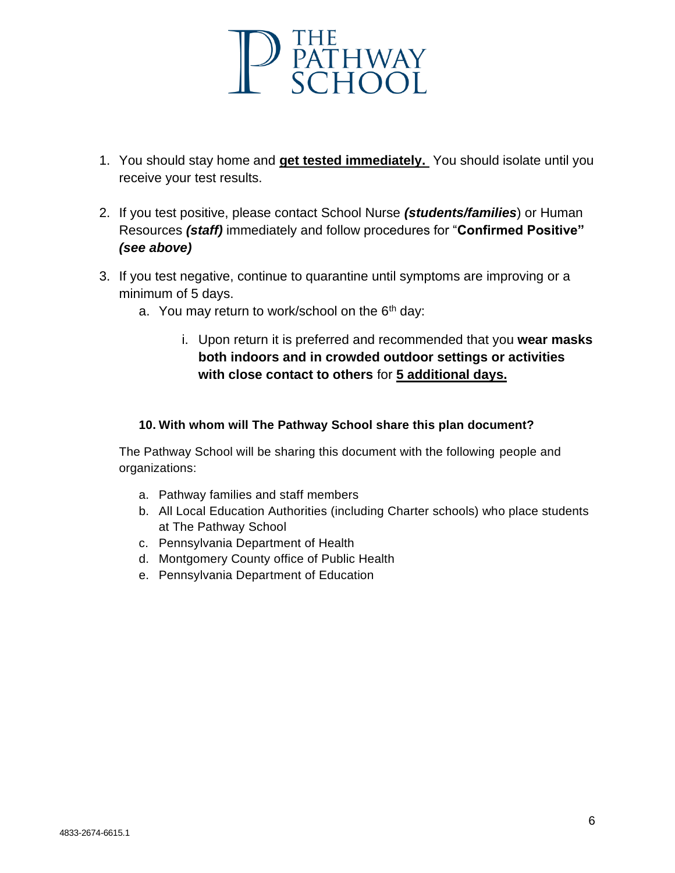

- 1. You should stay home and **get tested immediately.** You should isolate until you receive your test results.
- 2. If you test positive, please contact School Nurse *(students/families*) or Human Resources *(staff)* immediately and follow procedures for "**Confirmed Positive"**  *(see above)*
- 3. If you test negative, continue to quarantine until symptoms are improving or a minimum of 5 days.
	- a. You may return to work/school on the  $6<sup>th</sup>$  day:
		- i. Upon return it is preferred and recommended that you **wear masks both indoors and in crowded outdoor settings or activities with close contact to others** for **5 additional days.**

#### **10. With whom will The Pathway School share this plan document?**

The Pathway School will be sharing this document with the following people and organizations:

- a. Pathway families and staff members
- b. All Local Education Authorities (including Charter schools) who place students at The Pathway School
- c. Pennsylvania Department of Health
- d. Montgomery County office of Public Health
- e. Pennsylvania Department of Education